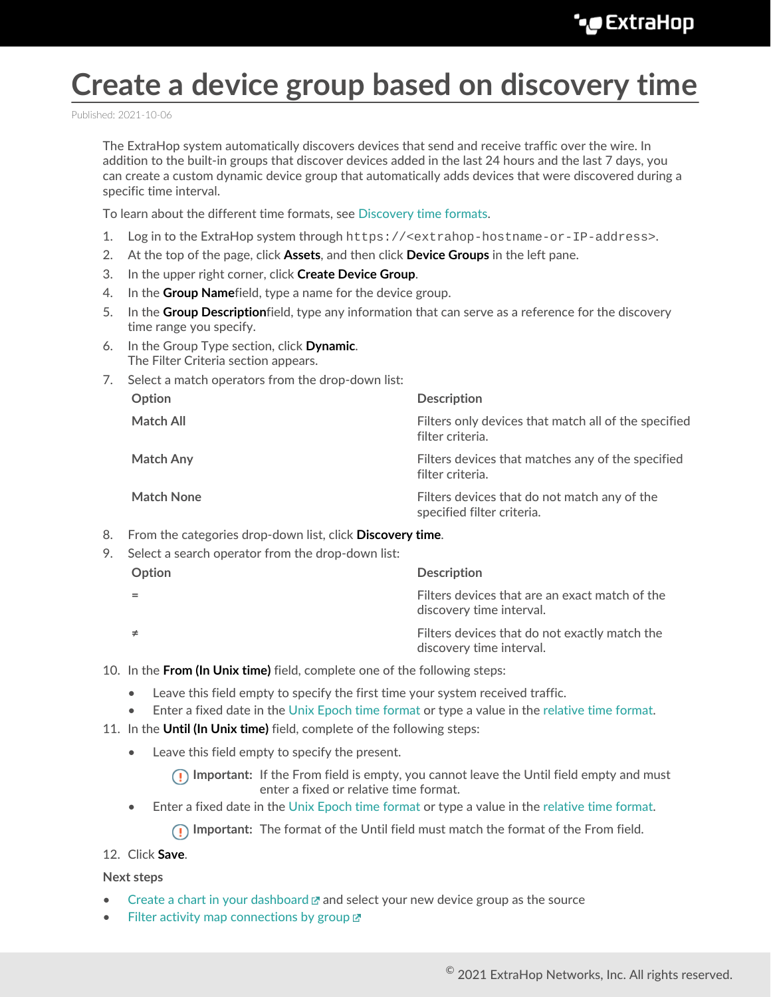# **Create a device group based on discovery time**

Published: 2021-10-06

The ExtraHop system automatically discovers devices that send and receive traffic over the wire. In addition to the built-in groups that discover devices added in the last 24 hours and the last 7 days, you can create a custom dynamic device group that automatically adds devices that were discovered during a specific time interval.

To learn about the different time formats, see [Discovery time formats](#page-1-0).

- 1. Log in to the ExtraHop system through https://<extrahop-hostname-or-IP-address>.
- 2. At the top of the page, click **Assets**, and then click **Device Groups** in the left pane.
- 3. In the upper right corner, click **Create Device Group**.
- 4. In the **Group Name**field, type a name for the device group.
- 5. In the **Group Description**field, type any information that can serve as a reference for the discovery time range you specify.
- 6. In the Group Type section, click **Dynamic**. The Filter Criteria section appears.
- 7. Select a match operators from the drop-down list:

| Option            | <b>Description</b>                                                         |
|-------------------|----------------------------------------------------------------------------|
| Match All         | Filters only devices that match all of the specified<br>filter criteria.   |
| <b>Match Any</b>  | Filters devices that matches any of the specified<br>filter criteria.      |
| <b>Match None</b> | Filters devices that do not match any of the<br>specified filter criteria. |

8. From the categories drop-down list, click **Discovery time**.

| Select a search operator from the drop-down list: |                                                                            |  |
|---------------------------------------------------|----------------------------------------------------------------------------|--|
| Option                                            | <b>Description</b>                                                         |  |
|                                                   | Filters devices that are an exact match of the<br>discovery time interval. |  |
|                                                   | Filters devices that do not exactly match the<br>discovery time interval.  |  |

- 10. In the **From (In Unix time)** field, complete one of the following steps:
	- Leave this field empty to specify the first time your system received traffic.
	- Enter a fixed date in the [Unix Epoch time format](#page-1-1) or type a value in the [relative time format.](#page-1-2)
- 11. In the **Until (In Unix time)** field, complete of the following steps:
	- Leave this field empty to specify the present.

**Important:** If the From field is empty, you cannot leave the Until field empty and must enter a fixed or relative time format.

• Enter a fixed date in the [Unix Epoch time format](#page-1-1) or type a value in the [relative time format.](#page-1-2)

**Important:** The format of the Until field must match the format of the From field.

12. Click **Save**.

**Next steps**

- [Create a chart in your dashboard](https://docs.extrahop.com/8.7/metric-explorer/#create-and-edit-a-basic-chart)  $\mathbb Z$  and select your new device group as the source
- [Filter activity map connections by group](https://docs.extrahop.com/8.7/generate-activity-map/#include-or-exclude-devices)  $\mathbb{Z}$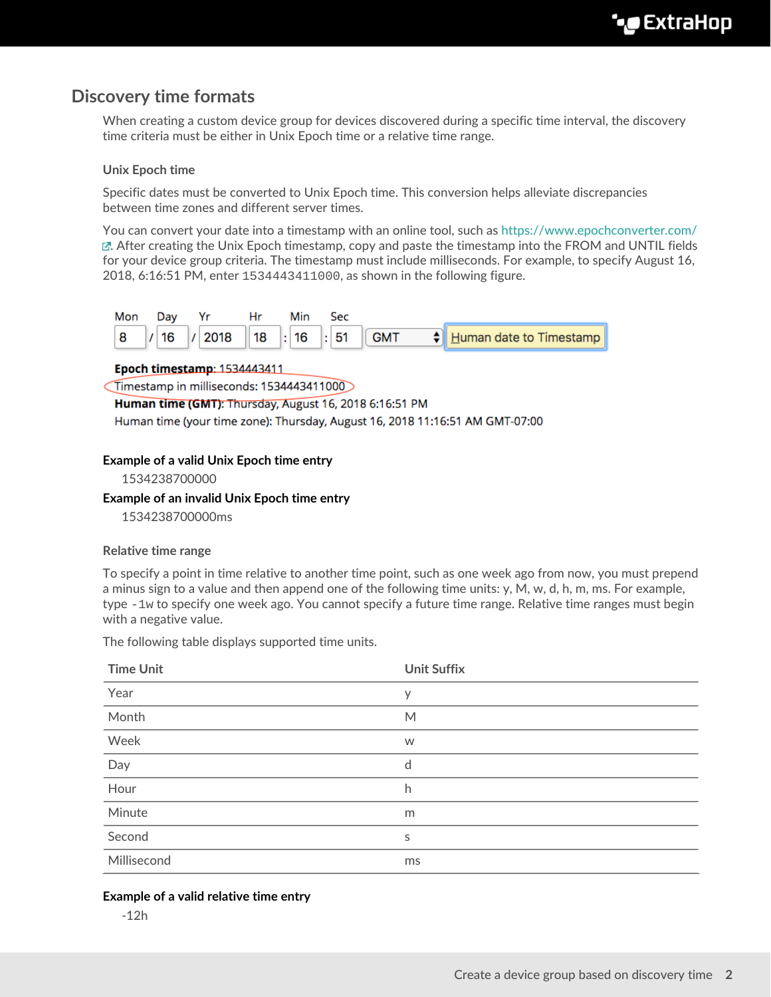# <span id="page-1-0"></span>**Discovery time formats**

When creating a custom device group for devices discovered during a specific time interval, the discovery time criteria must be either in Unix Epoch time or a relative time range.

## <span id="page-1-1"></span>**Unix Epoch time**

Specific dates must be converted to Unix Epoch time. This conversion helps alleviate discrepancies between time zones and different server times.

You can convert your date into a timestamp with an online tool, such as<https://www.epochconverter.com/>  $\mathbb{E}$ [.](https://www.epochconverter.com/) After creating the Unix Epoch timestamp, copy and paste the timestamp into the FROM and UNTIL fields for your device group criteria. The timestamp must include milliseconds. For example, to specify August 16, 2018, 6:16:51 PM, enter 1534443411000, as shown in the following figure.



## Epoch timestamp: 1534443411

Timestamp in milliseconds: 1534443411000

Human time (GMT): Thursday, August 16, 2018 6:16:51 PM

Human time (your time zone): Thursday, August 16, 2018 11:16:51 AM GMT-07:00

## **Example of a valid Unix Epoch time entry**

1534238700000

## **Example of an invalid Unix Epoch time entry**

1534238700000ms

#### <span id="page-1-2"></span>**Relative time range**

To specify a point in time relative to another time point, such as one week ago from now, you must prepend a minus sign to a value and then append one of the following time units:  $y$ , M, w, d, h, m, ms. For example, type -1w to specify one week ago. You cannot specify a future time range. Relative time ranges must begin with a negative value.

| <b>Time Unit</b>                                                                                                                                                                                                                                                                                                                                                                                                                                                                   | <b>Unit Suffix</b> |
|------------------------------------------------------------------------------------------------------------------------------------------------------------------------------------------------------------------------------------------------------------------------------------------------------------------------------------------------------------------------------------------------------------------------------------------------------------------------------------|--------------------|
| Year<br>$\frac{1}{2} \left( \frac{1}{2} \right) \left( \frac{1}{2} \right) \left( \frac{1}{2} \right) \left( \frac{1}{2} \right) \left( \frac{1}{2} \right) \left( \frac{1}{2} \right) \left( \frac{1}{2} \right) \left( \frac{1}{2} \right) \left( \frac{1}{2} \right) \left( \frac{1}{2} \right) \left( \frac{1}{2} \right) \left( \frac{1}{2} \right) \left( \frac{1}{2} \right) \left( \frac{1}{2} \right) \left( \frac{1}{2} \right) \left( \frac{1}{2} \right) \left( \frac$ | У                  |
| Month                                                                                                                                                                                                                                                                                                                                                                                                                                                                              | M                  |
| Week                                                                                                                                                                                                                                                                                                                                                                                                                                                                               | W                  |
| Day                                                                                                                                                                                                                                                                                                                                                                                                                                                                                | d                  |
| Hour                                                                                                                                                                                                                                                                                                                                                                                                                                                                               | h                  |
| Minute                                                                                                                                                                                                                                                                                                                                                                                                                                                                             | m                  |
| Second                                                                                                                                                                                                                                                                                                                                                                                                                                                                             | S                  |
| Millisecond                                                                                                                                                                                                                                                                                                                                                                                                                                                                        | ms                 |

The following table displays supported time units.

## **Example of a valid relative time entry**

-12h